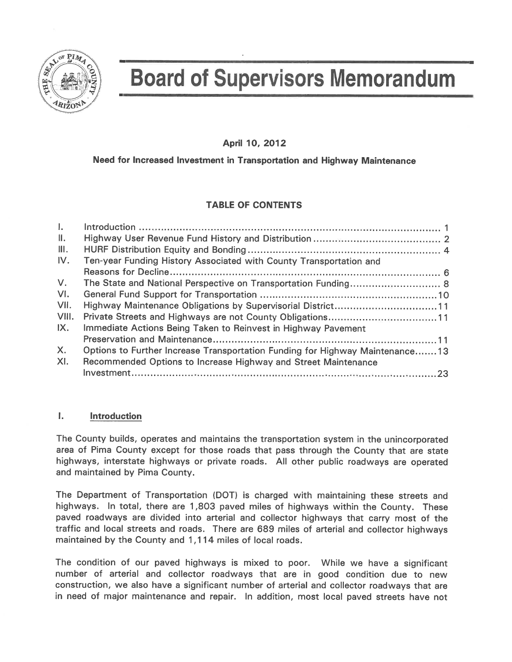

# **Board of Supervisors Memorandum**

#### April 10, 2012

#### Need for Increased Investment in Transportation and Highway Maintenance

### **TABLE OF CONTENTS**

| $\mathbf{L}$ |                                                                              |  |
|--------------|------------------------------------------------------------------------------|--|
| Ш.           |                                                                              |  |
| III.         |                                                                              |  |
| IV.          | Ten-year Funding History Associated with County Transportation and           |  |
|              |                                                                              |  |
| $V_{\cdot}$  | The State and National Perspective on Transportation Funding 8               |  |
| VI.          |                                                                              |  |
| VII.         | Highway Maintenance Obligations by Supervisorial District11                  |  |
| VIII.        | Private Streets and Highways are not County Obligations11                    |  |
| IX.          | Immediate Actions Being Taken to Reinvest in Highway Pavement                |  |
|              |                                                                              |  |
| $X_{1}$      | Options to Further Increase Transportation Funding for Highway Maintenance13 |  |
| XI.          | Recommended Options to Increase Highway and Street Maintenance               |  |
|              |                                                                              |  |

#### $\mathbf{L}$ **Introduction**

The County builds, operates and maintains the transportation system in the unincorporated area of Pima County except for those roads that pass through the County that are state highways, interstate highways or private roads. All other public roadways are operated and maintained by Pima County.

The Department of Transportation (DOT) is charged with maintaining these streets and highways. In total, there are 1,803 paved miles of highways within the County. These paved roadways are divided into arterial and collector highways that carry most of the traffic and local streets and roads. There are 689 miles of arterial and collector highways maintained by the County and 1,114 miles of local roads.

The condition of our paved highways is mixed to poor. While we have a significant number of arterial and collector roadways that are in good condition due to new construction, we also have a significant number of arterial and collector roadways that are in need of major maintenance and repair. In addition, most local paved streets have not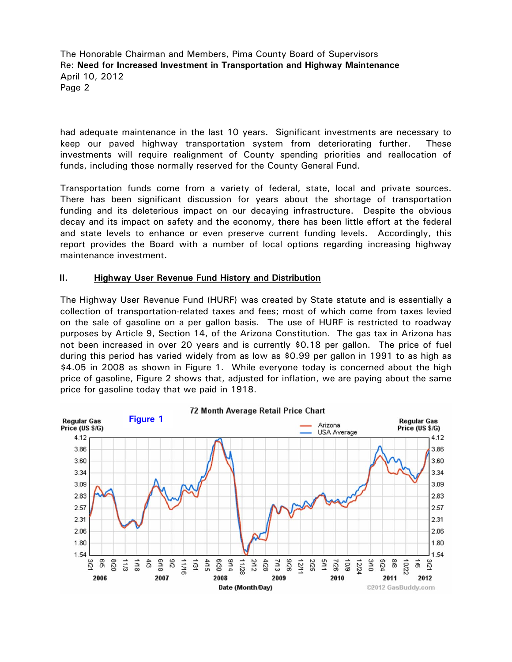had adequate maintenance in the last 10 years. Significant investments are necessary to keep our paved highway transportation system from deteriorating further. These investments will require realignment of County spending priorities and reallocation of funds, including those normally reserved for the County General Fund.

Transportation funds come from a variety of federal, state, local and private sources. There has been significant discussion for years about the shortage of transportation funding and its deleterious impact on our decaying infrastructure. Despite the obvious decay and its impact on safety and the economy, there has been little effort at the federal and state levels to enhance or even preserve current funding levels. Accordingly, this report provides the Board with a number of local options regarding increasing highway maintenance investment.

#### **II. Highway User Revenue Fund History and Distribution**

The Highway User Revenue Fund (HURF) was created by State statute and is essentially a collection of transportation-related taxes and fees; most of which come from taxes levied on the sale of gasoline on a per gallon basis. The use of HURF is restricted to roadway purposes by Article 9, Section 14, of the Arizona Constitution. The gas tax in Arizona has not been increased in over 20 years and is currently \$0.18 per gallon. The price of fuel during this period has varied widely from as low as \$0.99 per gallon in 1991 to as high as \$4.05 in 2008 as shown in Figure 1. While everyone today is concerned about the high price of gasoline, Figure 2 shows that, adjusted for inflation, we are paying about the same price for gasoline today that we paid in 1918.

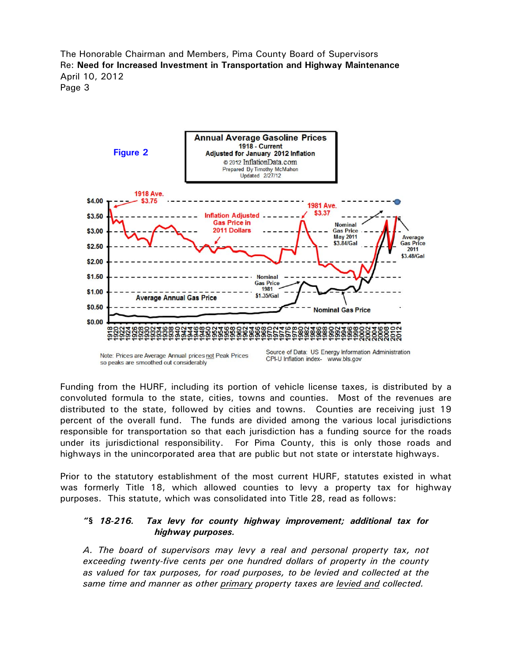

Funding from the HURF, including its portion of vehicle license taxes, is distributed by a convoluted formula to the state, cities, towns and counties. Most of the revenues are distributed to the state, followed by cities and towns. Counties are receiving just 19 percent of the overall fund. The funds are divided among the various local jurisdictions responsible for transportation so that each jurisdiction has a funding source for the roads under its jurisdictional responsibility. For Pima County, this is only those roads and highways in the unincorporated area that are public but not state or interstate highways.

Prior to the statutory establishment of the most current HURF, statutes existed in what was formerly Title 18, which allowed counties to levy a property tax for highway purposes. This statute, which was consolidated into Title 28, read as follows:

#### *"§ 18-216. Tax levy for county highway improvement; additional tax for highway purposes.*

*A. The board of supervisors may levy a real and personal property tax, not exceeding twenty-five cents per one hundred dollars of property in the county as valued for tax purposes, for road purposes, to be levied and collected at the same time and manner as other primary property taxes are levied and collected.*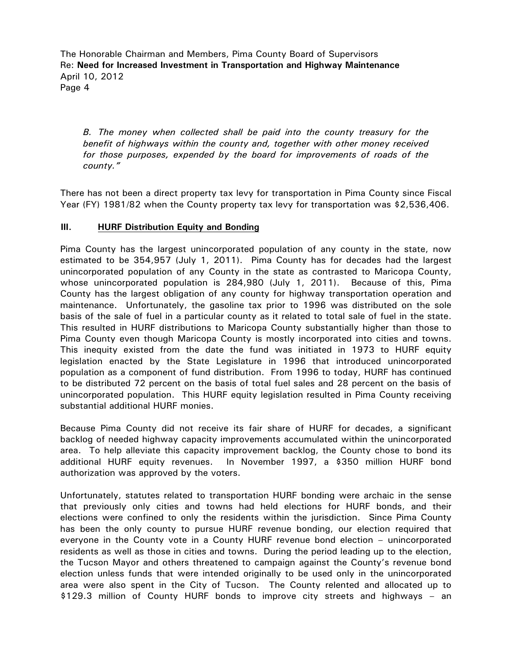*B. The money when collected shall be paid into the county treasury for the benefit of highways within the county and, together with other money received for those purposes, expended by the board for improvements of roads of the county."* 

There has not been a direct property tax levy for transportation in Pima County since Fiscal Year (FY) 1981/82 when the County property tax levy for transportation was \$2,536,406.

#### **III. HURF Distribution Equity and Bonding**

Pima County has the largest unincorporated population of any county in the state, now estimated to be 354,957 (July 1, 2011). Pima County has for decades had the largest unincorporated population of any County in the state as contrasted to Maricopa County, whose unincorporated population is 284,980 (July 1, 2011). Because of this, Pima County has the largest obligation of any county for highway transportation operation and maintenance. Unfortunately, the gasoline tax prior to 1996 was distributed on the sole basis of the sale of fuel in a particular county as it related to total sale of fuel in the state. This resulted in HURF distributions to Maricopa County substantially higher than those to Pima County even though Maricopa County is mostly incorporated into cities and towns. This inequity existed from the date the fund was initiated in 1973 to HURF equity legislation enacted by the State Legislature in 1996 that introduced unincorporated population as a component of fund distribution. From 1996 to today, HURF has continued to be distributed 72 percent on the basis of total fuel sales and 28 percent on the basis of unincorporated population. This HURF equity legislation resulted in Pima County receiving substantial additional HURF monies.

Because Pima County did not receive its fair share of HURF for decades, a significant backlog of needed highway capacity improvements accumulated within the unincorporated area. To help alleviate this capacity improvement backlog, the County chose to bond its additional HURF equity revenues. In November 1997, a \$350 million HURF bond authorization was approved by the voters.

Unfortunately, statutes related to transportation HURF bonding were archaic in the sense that previously only cities and towns had held elections for HURF bonds, and their elections were confined to only the residents within the jurisdiction. Since Pima County has been the only county to pursue HURF revenue bonding, our election required that everyone in the County vote in a County HURF revenue bond election – unincorporated residents as well as those in cities and towns. During the period leading up to the election, the Tucson Mayor and others threatened to campaign against the County's revenue bond election unless funds that were intended originally to be used only in the unincorporated area were also spent in the City of Tucson. The County relented and allocated up to \$129.3 million of County HURF bonds to improve city streets and highways – an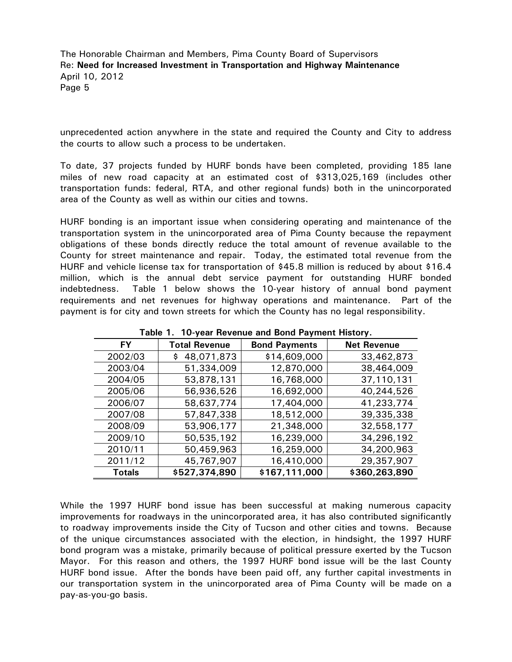unprecedented action anywhere in the state and required the County and City to address the courts to allow such a process to be undertaken.

To date, 37 projects funded by HURF bonds have been completed, providing 185 lane miles of new road capacity at an estimated cost of \$313,025,169 (includes other transportation funds: federal, RTA, and other regional funds) both in the unincorporated area of the County as well as within our cities and towns.

HURF bonding is an important issue when considering operating and maintenance of the transportation system in the unincorporated area of Pima County because the repayment obligations of these bonds directly reduce the total amount of revenue available to the County for street maintenance and repair. Today, the estimated total revenue from the HURF and vehicle license tax for transportation of \$45.8 million is reduced by about \$16.4 million, which is the annual debt service payment for outstanding HURF bonded indebtedness. Table 1 below shows the 10-year history of annual bond payment requirements and net revenues for highway operations and maintenance. Part of the payment is for city and town streets for which the County has no legal responsibility.

| <b>FY</b>     | <b>Total Revenue</b> | <b>Bond Payments</b> | <b>Net Revenue</b> |
|---------------|----------------------|----------------------|--------------------|
| 2002/03       | 48,071,873           | \$14,609,000         | 33,462,873         |
| 2003/04       | 51,334,009           | 12,870,000           | 38,464,009         |
| 2004/05       | 53,878,131           | 16,768,000           | 37,110,131         |
| 2005/06       | 56,936,526           | 16,692,000           | 40,244,526         |
| 2006/07       | 58,637,774           | 17,404,000           | 41,233,774         |
| 2007/08       | 57,847,338           | 18,512,000           | 39,335,338         |
| 2008/09       | 53,906,177           | 21,348,000           | 32,558,177         |
| 2009/10       | 50,535,192           | 16,239,000           | 34,296,192         |
| 2010/11       | 50,459,963           | 16,259,000           | 34,200,963         |
| 2011/12       | 45,767,907           | 16,410,000           | 29,357,907         |
| <b>Totals</b> | \$527,374,890        | \$167,111,000        | \$360,263,890      |

**Table 1. 10-year Revenue and Bond Payment History.** 

While the 1997 HURF bond issue has been successful at making numerous capacity improvements for roadways in the unincorporated area, it has also contributed significantly to roadway improvements inside the City of Tucson and other cities and towns. Because of the unique circumstances associated with the election, in hindsight, the 1997 HURF bond program was a mistake, primarily because of political pressure exerted by the Tucson Mayor. For this reason and others, the 1997 HURF bond issue will be the last County HURF bond issue. After the bonds have been paid off, any further capital investments in our transportation system in the unincorporated area of Pima County will be made on a pay-as-you-go basis.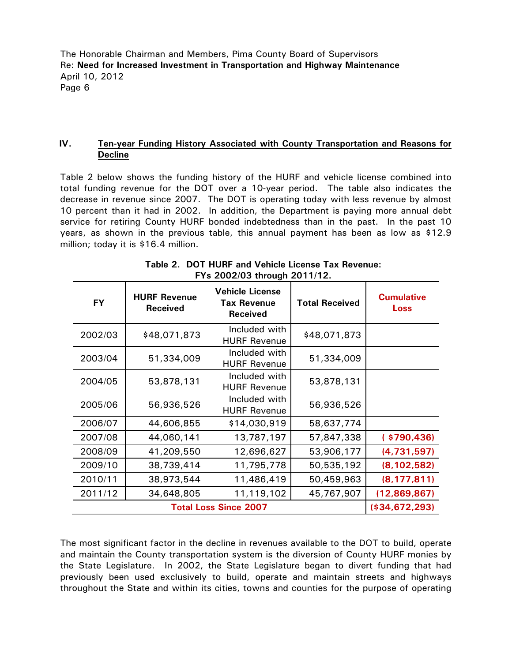#### **IV. Ten-year Funding History Associated with County Transportation and Reasons for Decline**

Table 2 below shows the funding history of the HURF and vehicle license combined into total funding revenue for the DOT over a 10-year period. The table also indicates the decrease in revenue since 2007. The DOT is operating today with less revenue by almost 10 percent than it had in 2002. In addition, the Department is paying more annual debt service for retiring County HURF bonded indebtedness than in the past. In the past 10 years, as shown in the previous table, this annual payment has been as low as \$12.9 million; today it is \$16.4 million.

| <b>FY</b> | <b>HURF Revenue</b><br><b>Received</b> | <b>Vehicle License</b><br><b>Tax Revenue</b><br><b>Received</b> | <b>Total Received</b> | <b>Cumulative</b><br><b>Loss</b> |
|-----------|----------------------------------------|-----------------------------------------------------------------|-----------------------|----------------------------------|
| 2002/03   | \$48,071,873                           | Included with<br><b>HURF Revenue</b>                            | \$48,071,873          |                                  |
| 2003/04   | 51,334,009                             | Included with<br><b>HURF Revenue</b>                            | 51,334,009            |                                  |
| 2004/05   | 53,878,131                             | Included with<br><b>HURF Revenue</b>                            | 53,878,131            |                                  |
| 2005/06   | 56,936,526                             | Included with<br><b>HURF Revenue</b>                            | 56,936,526            |                                  |
| 2006/07   | 44,606,855                             | \$14,030,919                                                    | 58,637,774            |                                  |
| 2007/08   | 44,060,141                             | 13,787,197                                                      | 57,847,338            | ( \$790,436)                     |
| 2008/09   | 41,209,550                             | 12,696,627                                                      | 53,906,177            | (4,731,597)                      |
| 2009/10   | 38,739,414                             | 11,795,778                                                      | 50,535,192            | (8, 102, 582)                    |
| 2010/11   | 38,973,544                             | 11,486,419                                                      | 50,459,963            | (8, 177, 811)                    |
| 2011/12   | 34,648,805                             | 11,119,102                                                      | 45,767,907            | (12,869,867)                     |
|           |                                        | <b>Total Loss Since 2007</b>                                    |                       | ( \$34,672,293)                  |

**Table 2. DOT HURF and Vehicle License Tax Revenue: FYs 2002/03 through 2011/12.** 

The most significant factor in the decline in revenues available to the DOT to build, operate and maintain the County transportation system is the diversion of County HURF monies by the State Legislature. In 2002, the State Legislature began to divert funding that had previously been used exclusively to build, operate and maintain streets and highways throughout the State and within its cities, towns and counties for the purpose of operating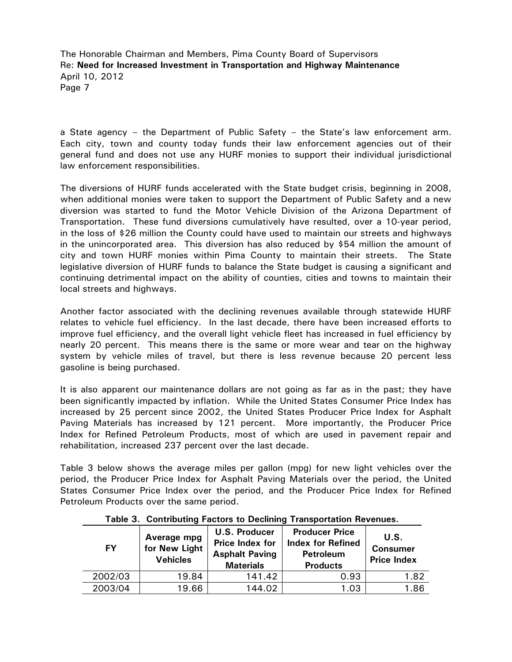a State agency – the Department of Public Safety – the State's law enforcement arm. Each city, town and county today funds their law enforcement agencies out of their general fund and does not use any HURF monies to support their individual jurisdictional law enforcement responsibilities.

The diversions of HURF funds accelerated with the State budget crisis, beginning in 2008, when additional monies were taken to support the Department of Public Safety and a new diversion was started to fund the Motor Vehicle Division of the Arizona Department of Transportation. These fund diversions cumulatively have resulted, over a 10-year period, in the loss of \$26 million the County could have used to maintain our streets and highways in the unincorporated area. This diversion has also reduced by \$54 million the amount of city and town HURF monies within Pima County to maintain their streets. The State legislative diversion of HURF funds to balance the State budget is causing a significant and continuing detrimental impact on the ability of counties, cities and towns to maintain their local streets and highways.

Another factor associated with the declining revenues available through statewide HURF relates to vehicle fuel efficiency. In the last decade, there have been increased efforts to improve fuel efficiency, and the overall light vehicle fleet has increased in fuel efficiency by nearly 20 percent. This means there is the same or more wear and tear on the highway system by vehicle miles of travel, but there is less revenue because 20 percent less gasoline is being purchased.

It is also apparent our maintenance dollars are not going as far as in the past; they have been significantly impacted by inflation. While the United States Consumer Price Index has increased by 25 percent since 2002, the United States Producer Price Index for Asphalt Paving Materials has increased by 121 percent. More importantly, the Producer Price Index for Refined Petroleum Products, most of which are used in pavement repair and rehabilitation, increased 237 percent over the last decade.

Table 3 below shows the average miles per gallon (mpg) for new light vehicles over the period, the Producer Price Index for Asphalt Paving Materials over the period, the United States Consumer Price Index over the period, and the Producer Price Index for Refined Petroleum Products over the same period.

| <b>FY</b> | Average mpg<br>for New Light<br><b>Vehicles</b> | <b>U.S. Producer</b><br>Price Index for<br><b>Asphalt Paving</b><br><b>Materials</b> | <b>Producer Price</b><br><b>Index for Refined</b><br><b>Petroleum</b><br><b>Products</b> | U.S.<br><b>Consumer</b><br><b>Price Index</b> |
|-----------|-------------------------------------------------|--------------------------------------------------------------------------------------|------------------------------------------------------------------------------------------|-----------------------------------------------|
| 2002/03   | 19.84                                           | 141.42                                                                               | 0.93                                                                                     | 1.82                                          |
| 2003/04   | 19.66                                           | 144.02                                                                               | 1.03                                                                                     | 1.86                                          |

**Table 3. Contributing Factors to Declining Transportation Revenues.**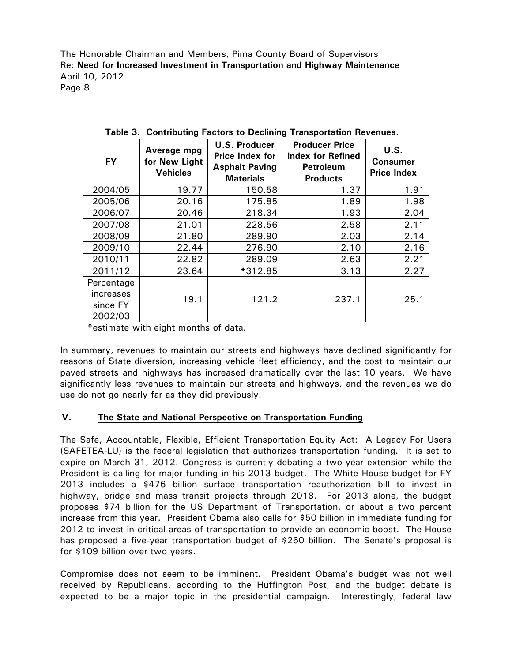|                                  | rapic of continuating ractors to Deciming<br><b>Hanoportation</b> nevended: |                                                                                      |                                                                                          |                                        |  |  |  |
|----------------------------------|-----------------------------------------------------------------------------|--------------------------------------------------------------------------------------|------------------------------------------------------------------------------------------|----------------------------------------|--|--|--|
| <b>FY</b>                        | Average mpg<br>for New Light<br><b>Vehicles</b>                             | <b>U.S. Producer</b><br>Price Index for<br><b>Asphalt Paving</b><br><b>Materials</b> | <b>Producer Price</b><br><b>Index for Refined</b><br><b>Petroleum</b><br><b>Products</b> | U.S.<br>Consumer<br><b>Price Index</b> |  |  |  |
| 2004/05                          | 19.77                                                                       | 150.58                                                                               | 1.37                                                                                     | 1.91                                   |  |  |  |
| 2005/06                          | 20.16                                                                       | 175.85                                                                               | 1.89                                                                                     | 1.98                                   |  |  |  |
| 2006/07                          | 20.46                                                                       | 218.34                                                                               | 1.93                                                                                     | 2.04                                   |  |  |  |
| 2007/08                          | 21.01                                                                       | 228.56                                                                               | 2.58                                                                                     | 2.11                                   |  |  |  |
| 2008/09                          | 21.80                                                                       | 289.90                                                                               | 2.03                                                                                     | 2.14                                   |  |  |  |
| 2009/10                          | 22.44                                                                       | 276.90                                                                               | 2.10                                                                                     | 2.16                                   |  |  |  |
| 2010/11                          | 22.82                                                                       | 289.09                                                                               | 2.63                                                                                     | 2.21                                   |  |  |  |
| 2011/12                          | 23.64                                                                       | *312.85                                                                              | 3.13                                                                                     | 2.27                                   |  |  |  |
| Percentage                       |                                                                             |                                                                                      |                                                                                          |                                        |  |  |  |
| increases<br>since FY<br>2002/03 | 19.1                                                                        | 121.2                                                                                | 237.1                                                                                    | 25.1                                   |  |  |  |

|  |  |  |  | Table 3. Contributing Factors to Declining Transportation Revenues. |  |
|--|--|--|--|---------------------------------------------------------------------|--|
|--|--|--|--|---------------------------------------------------------------------|--|

**\***estimate with eight months of data.

In summary, revenues to maintain our streets and highways have declined significantly for reasons of State diversion, increasing vehicle fleet efficiency, and the cost to maintain our paved streets and highways has increased dramatically over the last 10 years. We have significantly less revenues to maintain our streets and highways, and the revenues we do use do not go nearly far as they did previously.

#### **V. The State and National Perspective on Transportation Funding**

The Safe, Accountable, Flexible, Efficient Transportation Equity Act: A Legacy For Users (SAFETEA-LU) is the federal legislation that authorizes transportation funding. It is set to expire on March 31, 2012. Congress is currently debating a two-year extension while the President is calling for major funding in his 2013 budget. The White House budget for FY 2013 includes a \$476 billion surface transportation reauthorization bill to invest in highway, bridge and mass transit projects through 2018. For 2013 alone, the budget proposes \$74 billion for the US Department of Transportation, or about a two percent increase from this year. President Obama also calls for \$50 billion in immediate funding for 2012 to invest in critical areas of transportation to provide an economic boost. The House has proposed a five-year transportation budget of \$260 billion. The Senate's proposal is for \$109 billion over two years.

Compromise does not seem to be imminent. President Obama's budget was not well received by Republicans, according to the Huffington Post, and the budget debate is expected to be a major topic in the presidential campaign. Interestingly, federal law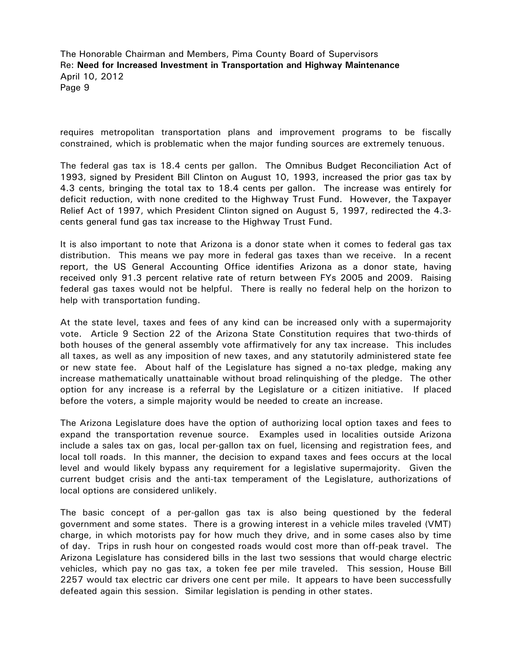requires metropolitan transportation plans and improvement programs to be fiscally constrained, which is problematic when the major funding sources are extremely tenuous.

The federal gas tax is 18.4 cents per gallon. The Omnibus Budget Reconciliation Act of 1993, signed by President Bill Clinton on August 10, 1993, increased the prior gas tax by 4.3 cents, bringing the total tax to 18.4 cents per gallon. The increase was entirely for deficit reduction, with none credited to the Highway Trust Fund. However, the Taxpayer Relief Act of 1997, which President Clinton signed on August 5, 1997, redirected the 4.3 cents general fund gas tax increase to the Highway Trust Fund.

It is also important to note that Arizona is a donor state when it comes to federal gas tax distribution. This means we pay more in federal gas taxes than we receive. In a recent report, the US General Accounting Office identifies Arizona as a donor state, having received only 91.3 percent relative rate of return between FYs 2005 and 2009. Raising federal gas taxes would not be helpful. There is really no federal help on the horizon to help with transportation funding.

At the state level, taxes and fees of any kind can be increased only with a supermajority vote. Article 9 Section 22 of the Arizona State Constitution requires that two-thirds of both houses of the general assembly vote affirmatively for any tax increase. This includes all taxes, as well as any imposition of new taxes, and any statutorily administered state fee or new state fee. About half of the Legislature has signed a no-tax pledge, making any increase mathematically unattainable without broad relinquishing of the pledge. The other option for any increase is a referral by the Legislature or a citizen initiative. If placed before the voters, a simple majority would be needed to create an increase.

The Arizona Legislature does have the option of authorizing local option taxes and fees to expand the transportation revenue source. Examples used in localities outside Arizona include a sales tax on gas, local per-gallon tax on fuel, licensing and registration fees, and local toll roads. In this manner, the decision to expand taxes and fees occurs at the local level and would likely bypass any requirement for a legislative supermajority. Given the current budget crisis and the anti-tax temperament of the Legislature, authorizations of local options are considered unlikely.

The basic concept of a per-gallon gas tax is also being questioned by the federal government and some states. There is a growing interest in a vehicle miles traveled (VMT) charge, in which motorists pay for how much they drive, and in some cases also by time of day. Trips in rush hour on congested roads would cost more than off-peak travel. The Arizona Legislature has considered bills in the last two sessions that would charge electric vehicles, which pay no gas tax, a token fee per mile traveled. This session, House Bill 2257 would tax electric car drivers one cent per mile. It appears to have been successfully defeated again this session. Similar legislation is pending in other states.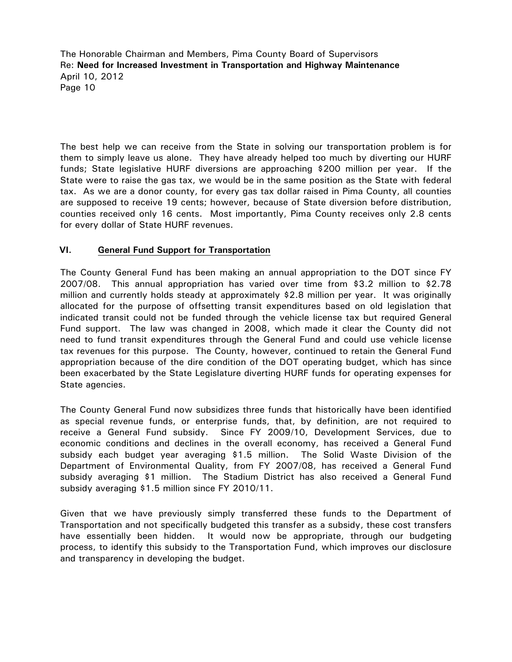The best help we can receive from the State in solving our transportation problem is for them to simply leave us alone. They have already helped too much by diverting our HURF funds; State legislative HURF diversions are approaching \$200 million per year. If the State were to raise the gas tax, we would be in the same position as the State with federal tax. As we are a donor county, for every gas tax dollar raised in Pima County, all counties are supposed to receive 19 cents; however, because of State diversion before distribution, counties received only 16 cents. Most importantly, Pima County receives only 2.8 cents for every dollar of State HURF revenues.

#### **VI. General Fund Support for Transportation**

The County General Fund has been making an annual appropriation to the DOT since FY 2007/08. This annual appropriation has varied over time from \$3.2 million to \$2.78 million and currently holds steady at approximately \$2.8 million per year. It was originally allocated for the purpose of offsetting transit expenditures based on old legislation that indicated transit could not be funded through the vehicle license tax but required General Fund support. The law was changed in 2008, which made it clear the County did not need to fund transit expenditures through the General Fund and could use vehicle license tax revenues for this purpose. The County, however, continued to retain the General Fund appropriation because of the dire condition of the DOT operating budget, which has since been exacerbated by the State Legislature diverting HURF funds for operating expenses for State agencies.

The County General Fund now subsidizes three funds that historically have been identified as special revenue funds, or enterprise funds, that, by definition, are not required to receive a General Fund subsidy. Since FY 2009/10, Development Services, due to economic conditions and declines in the overall economy, has received a General Fund subsidy each budget year averaging \$1.5 million. The Solid Waste Division of the Department of Environmental Quality, from FY 2007/08, has received a General Fund subsidy averaging \$1 million. The Stadium District has also received a General Fund subsidy averaging \$1.5 million since FY 2010/11.

Given that we have previously simply transferred these funds to the Department of Transportation and not specifically budgeted this transfer as a subsidy, these cost transfers have essentially been hidden. It would now be appropriate, through our budgeting process, to identify this subsidy to the Transportation Fund, which improves our disclosure and transparency in developing the budget.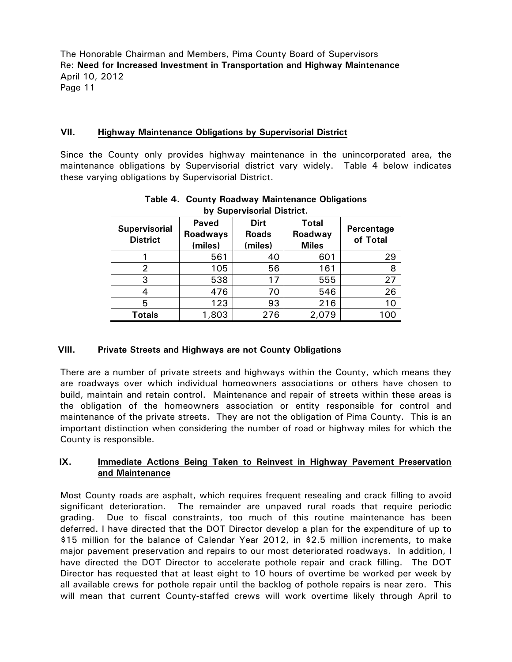#### **VII. Highway Maintenance Obligations by Supervisorial District**

Since the County only provides highway maintenance in the unincorporated area, the maintenance obligations by Supervisorial district vary widely. Table 4 below indicates these varying obligations by Supervisorial District.

| by Supervisorial District.              |                                            |                                        |                                         |                        |  |  |  |
|-----------------------------------------|--------------------------------------------|----------------------------------------|-----------------------------------------|------------------------|--|--|--|
| <b>Supervisorial</b><br><b>District</b> | <b>Paved</b><br><b>Roadways</b><br>(miles) | <b>Dirt</b><br><b>Roads</b><br>(miles) | <b>Total</b><br>Roadway<br><b>Miles</b> | Percentage<br>of Total |  |  |  |
|                                         | 561                                        | 40                                     | 601                                     | 29                     |  |  |  |
| 2                                       | 105                                        | 56                                     | 161                                     | 8                      |  |  |  |
| 3                                       | 538                                        | 17                                     | 555                                     | 27                     |  |  |  |
|                                         | 476                                        | 70                                     | 546                                     | 26                     |  |  |  |
| 5                                       | 123                                        | 93                                     | 216                                     | 10                     |  |  |  |
| <b>Totals</b>                           | 1,803                                      | 276                                    | 2,079                                   | 100                    |  |  |  |

## **Table 4. County Roadway Maintenance Obligations**

#### **VIII. Private Streets and Highways are not County Obligations**

There are a number of private streets and highways within the County, which means they are roadways over which individual homeowners associations or others have chosen to build, maintain and retain control. Maintenance and repair of streets within these areas is the obligation of the homeowners association or entity responsible for control and maintenance of the private streets. They are not the obligation of Pima County. This is an important distinction when considering the number of road or highway miles for which the County is responsible.

#### **IX. Immediate Actions Being Taken to Reinvest in Highway Pavement Preservation and Maintenance**

Most County roads are asphalt, which requires frequent resealing and crack filling to avoid significant deterioration. The remainder are unpaved rural roads that require periodic grading. Due to fiscal constraints, too much of this routine maintenance has been deferred. I have directed that the DOT Director develop a plan for the expenditure of up to \$15 million for the balance of Calendar Year 2012, in \$2.5 million increments, to make major pavement preservation and repairs to our most deteriorated roadways. In addition, I have directed the DOT Director to accelerate pothole repair and crack filling. The DOT Director has requested that at least eight to 10 hours of overtime be worked per week by all available crews for pothole repair until the backlog of pothole repairs is near zero. This will mean that current County-staffed crews will work overtime likely through April to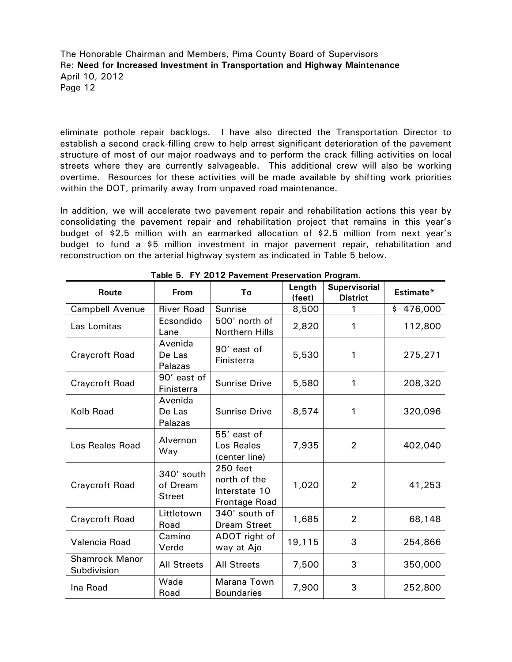eliminate pothole repair backlogs. I have also directed the Transportation Director to establish a second crack-filling crew to help arrest significant deterioration of the pavement structure of most of our major roadways and to perform the crack filling activities on local streets where they are currently salvageable. This additional crew will also be working overtime. Resources for these activities will be made available by shifting work priorities within the DOT, primarily away from unpaved road maintenance.

In addition, we will accelerate two pavement repair and rehabilitation actions this year by consolidating the pavement repair and rehabilitation project that remains in this year's budget of \$2.5 million with an earmarked allocation of \$2.5 million from next year's budget to fund a \$5 million investment in major pavement repair, rehabilitation and reconstruction on the arterial highway system as indicated in Table 5 below.

| Route                                | <b>From</b>                             | $1$ ave $3.11$ $201$ $21$ avenient Treservation Trogram.<br>To           | Length<br>(feet) | <b>Supervisorial</b><br><b>District</b> | Estimate* |
|--------------------------------------|-----------------------------------------|--------------------------------------------------------------------------|------------------|-----------------------------------------|-----------|
| <b>Campbell Avenue</b>               | <b>River Road</b>                       | Sunrise                                                                  | 8,500            | 1                                       | \$476,000 |
| Las Lomitas                          | Ecsondido<br>Lane                       | 500' north of<br>Northern Hills                                          | 2,820            | 1                                       | 112,800   |
| <b>Craycroft Road</b>                | Avenida<br>De Las<br>Palazas            | 90' east of<br>Finisterra                                                | 5,530            | 1                                       | 275,271   |
| <b>Craycroft Road</b>                | 90' east of<br>Finisterra               | <b>Sunrise Drive</b>                                                     | 5,580            | 1                                       | 208,320   |
| Kolb Road                            | Avenida<br>De Las<br>Palazas            | <b>Sunrise Drive</b>                                                     | 8,574            | 1                                       | 320,096   |
| Los Reales Road                      | Alvernon<br>Way                         | 55' east of<br>Los Reales<br>(center line)                               | 7,935            | $\overline{2}$                          | 402,040   |
| Craycroft Road                       | 340' south<br>of Dream<br><b>Street</b> | <b>250 feet</b><br>north of the<br>Interstate 10<br><b>Frontage Road</b> | 1,020            | $\overline{2}$                          | 41,253    |
| <b>Craycroft Road</b>                | Littletown<br>Road                      | 340' south of<br><b>Dream Street</b>                                     | 1,685            | $\overline{2}$                          | 68,148    |
| Valencia Road                        | Camino<br>Verde                         | ADOT right of<br>way at Ajo                                              | 19,115           | 3                                       | 254,866   |
| <b>Shamrock Manor</b><br>Subdivision | <b>All Streets</b>                      | <b>All Streets</b>                                                       | 7,500            | 3                                       | 350,000   |
| Ina Road                             | Wade<br>Road                            | Marana Town<br><b>Boundaries</b>                                         | 7,900            | 3                                       | 252,800   |

**Table 5. FY 2012 Pavement Preservation Program.**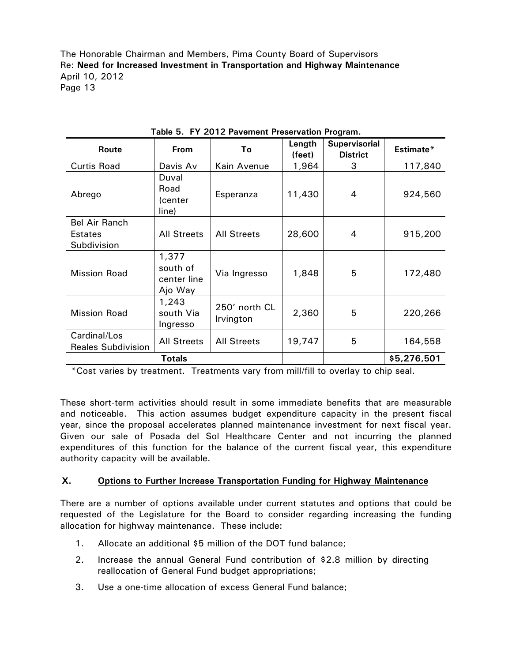| Route                                     | From                                        | Τo                         | Length<br>(feet) | <b>Supervisorial</b><br><b>District</b> | Estimate* |
|-------------------------------------------|---------------------------------------------|----------------------------|------------------|-----------------------------------------|-----------|
| <b>Curtis Road</b>                        | Davis Av                                    | Kain Avenue                | 1,964            | 3                                       | 117,840   |
| Abrego                                    | Duval<br>Road<br>(center<br>line)           | Esperanza                  | 11,430           | 4                                       | 924,560   |
| Bel Air Ranch                             |                                             |                            |                  |                                         |           |
| Estates                                   | <b>All Streets</b>                          | <b>All Streets</b>         | 28,600           | 4                                       | 915,200   |
| Subdivision                               |                                             |                            |                  |                                         |           |
| <b>Mission Road</b>                       | 1,377<br>south of<br>center line<br>Ajo Way | Via Ingresso               | 1,848            | 5                                       | 172,480   |
| <b>Mission Road</b>                       | 1,243<br>south Via<br>Ingresso              | 250' north CL<br>Irvington | 2,360            | 5                                       | 220,266   |
| Cardinal/Los<br><b>Reales Subdivision</b> | <b>All Streets</b>                          | <b>All Streets</b>         | 19,747           | 5                                       | 164,558   |
|                                           |                                             |                            | \$5,276,501      |                                         |           |

**Table 5. FY 2012 Pavement Preservation Program.** 

\*Cost varies by treatment. Treatments vary from mill/fill to overlay to chip seal.

These short-term activities should result in some immediate benefits that are measurable and noticeable. This action assumes budget expenditure capacity in the present fiscal year, since the proposal accelerates planned maintenance investment for next fiscal year. Given our sale of Posada del Sol Healthcare Center and not incurring the planned expenditures of this function for the balance of the current fiscal year, this expenditure authority capacity will be available.

#### **X. Options to Further Increase Transportation Funding for Highway Maintenance**

There are a number of options available under current statutes and options that could be requested of the Legislature for the Board to consider regarding increasing the funding allocation for highway maintenance. These include:

- 1. Allocate an additional \$5 million of the DOT fund balance;
- 2. Increase the annual General Fund contribution of \$2.8 million by directing reallocation of General Fund budget appropriations;
- 3. Use a one-time allocation of excess General Fund balance;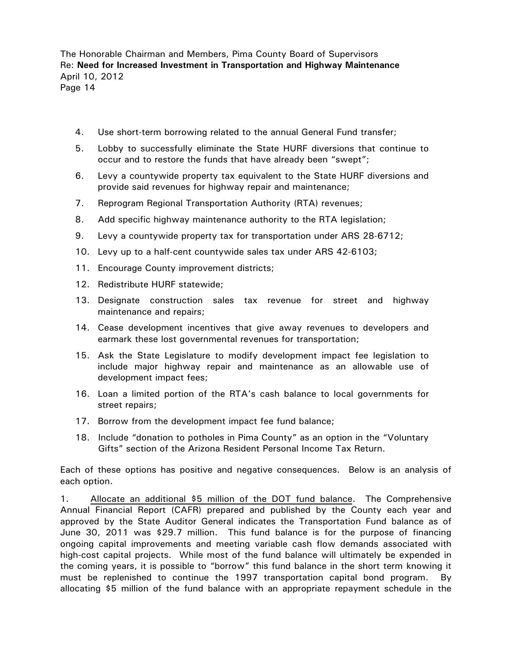- 4. Use short-term borrowing related to the annual General Fund transfer;
- 5. Lobby to successfully eliminate the State HURF diversions that continue to occur and to restore the funds that have already been "swept";
- 6. Levy a countywide property tax equivalent to the State HURF diversions and provide said revenues for highway repair and maintenance;
- 7. Reprogram Regional Transportation Authority (RTA) revenues;
- 8. Add specific highway maintenance authority to the RTA legislation;
- 9. Levy a countywide property tax for transportation under ARS 28-6712;
- 10. Levy up to a half-cent countywide sales tax under ARS 42-6103;
- 11. Encourage County improvement districts;
- 12. Redistribute HURF statewide;
- 13. Designate construction sales tax revenue for street and highway maintenance and repairs;
- 14. Cease development incentives that give away revenues to developers and earmark these lost governmental revenues for transportation;
- 15. Ask the State Legislature to modify development impact fee legislation to include major highway repair and maintenance as an allowable use of development impact fees;
- 16. Loan a limited portion of the RTA's cash balance to local governments for street repairs;
- 17. Borrow from the development impact fee fund balance;
- 18. Include "donation to potholes in Pima County" as an option in the "Voluntary Gifts" section of the Arizona Resident Personal Income Tax Return.

Each of these options has positive and negative consequences. Below is an analysis of each option.

1. Allocate an additional \$5 million of the DOT fund balance. The Comprehensive Annual Financial Report (CAFR) prepared and published by the County each year and approved by the State Auditor General indicates the Transportation Fund balance as of June 30, 2011 was \$29.7 million. This fund balance is for the purpose of financing ongoing capital improvements and meeting variable cash flow demands associated with high-cost capital projects. While most of the fund balance will ultimately be expended in the coming years, it is possible to "borrow" this fund balance in the short term knowing it must be replenished to continue the 1997 transportation capital bond program. By allocating \$5 million of the fund balance with an appropriate repayment schedule in the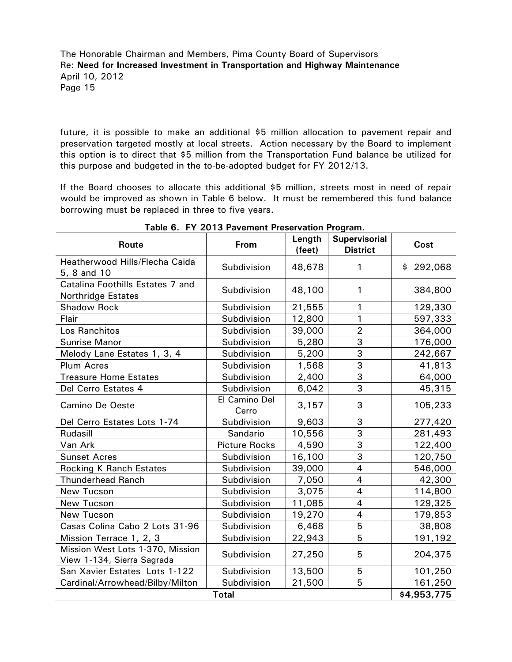future, it is possible to make an additional \$5 million allocation to pavement repair and preservation targeted mostly at local streets. Action necessary by the Board to implement this option is to direct that \$5 million from the Transportation Fund balance be utilized for this purpose and budgeted in the to-be-adopted budget for FY 2012/13.

If the Board chooses to allocate this additional \$5 million, streets most in need of repair would be improved as shown in Table 6 below. It must be remembered this fund balance borrowing must be replaced in three to five years.

| Route                                                          | From                   | Length<br>(feet) | <b>Supervisorial</b><br><b>District</b> | Cost      |
|----------------------------------------------------------------|------------------------|------------------|-----------------------------------------|-----------|
| Heatherwood Hills/Flecha Caida<br>5, 8 and 10                  | Subdivision            | 48,678           | 1                                       | \$292,068 |
| Catalina Foothills Estates 7 and<br><b>Northridge Estates</b>  | Subdivision            | 48,100           | 1                                       | 384,800   |
| <b>Shadow Rock</b>                                             | Subdivision            | 21,555           | 1                                       | 129,330   |
| Flair                                                          | Subdivision            | 12,800           | 1                                       | 597,333   |
| Los Ranchitos                                                  | Subdivision            | 39,000           | $\overline{2}$                          | 364,000   |
| <b>Sunrise Manor</b>                                           | Subdivision            | 5,280            | $\overline{3}$                          | 176,000   |
| Melody Lane Estates 1, 3, 4                                    | Subdivision            | 5,200            | 3                                       | 242,667   |
| <b>Plum Acres</b>                                              | Subdivision            | 1,568            | $\overline{3}$                          | 41,813    |
| <b>Treasure Home Estates</b>                                   | Subdivision            | 2,400            | 3                                       | 64,000    |
| Del Cerro Estates 4                                            | Subdivision            | 6,042            | 3                                       | 45,315    |
| <b>Camino De Oeste</b>                                         | El Camino Del<br>Cerro | 3,157            | 3                                       | 105,233   |
| Del Cerro Estates Lots 1-74                                    | Subdivision            | 9,603            | 3                                       | 277,420   |
| Rudasill                                                       | Sandario               | 10,556           | 3                                       | 281,493   |
| Van Ark                                                        | <b>Picture Rocks</b>   | 4,590            | 3                                       | 122,400   |
| <b>Sunset Acres</b>                                            | Subdivision            | 16,100           | $\overline{3}$                          | 120,750   |
| <b>Rocking K Ranch Estates</b>                                 | Subdivision            | 39,000           | $\overline{4}$                          | 546,000   |
| <b>Thunderhead Ranch</b>                                       | Subdivision            | 7,050            | $\overline{4}$                          | 42,300    |
| New Tucson                                                     | Subdivision            | 3,075            | $\overline{4}$                          | 114,800   |
| New Tucson                                                     | Subdivision            | 11,085           | $\overline{4}$                          | 129,325   |
| New Tucson                                                     | Subdivision            | 19,270           | $\overline{4}$                          | 179,853   |
| Casas Colina Cabo 2 Lots 31-96                                 | Subdivision            | 6,468            | 5                                       | 38,808    |
| Mission Terrace 1, 2, 3                                        | Subdivision            | 22,943           | $\overline{5}$                          | 191,192   |
| Mission West Lots 1-370, Mission<br>View 1-134, Sierra Sagrada | Subdivision            | 27,250           | 5                                       | 204,375   |
| San Xavier Estates Lots 1-122                                  | Subdivision            | 13,500           | 5                                       | 101,250   |
| Cardinal/Arrowhead/Bilby/Milton                                | Subdivision            | 21,500           | 5                                       | 161,250   |
|                                                                | \$4,953,775            |                  |                                         |           |

**Table 6. FY 2013 Pavement Preservation Program.**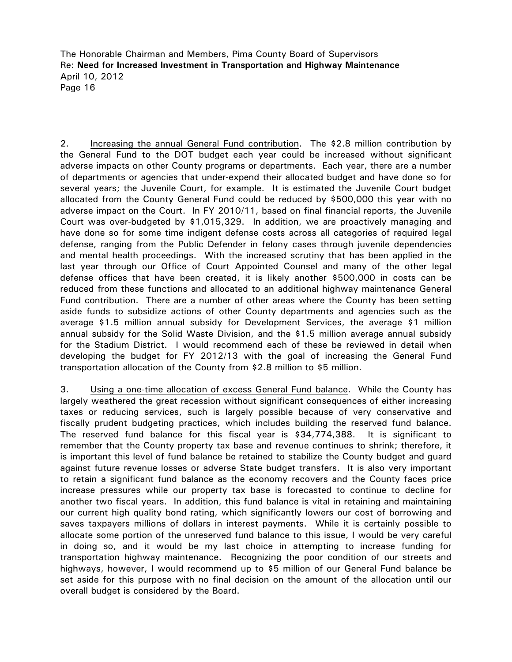2. Increasing the annual General Fund contribution. The \$2.8 million contribution by the General Fund to the DOT budget each year could be increased without significant adverse impacts on other County programs or departments. Each year, there are a number of departments or agencies that under-expend their allocated budget and have done so for several years; the Juvenile Court, for example. It is estimated the Juvenile Court budget allocated from the County General Fund could be reduced by \$500,000 this year with no adverse impact on the Court. In FY 2010/11, based on final financial reports, the Juvenile Court was over-budgeted by \$1,015,329. In addition, we are proactively managing and have done so for some time indigent defense costs across all categories of required legal defense, ranging from the Public Defender in felony cases through juvenile dependencies and mental health proceedings. With the increased scrutiny that has been applied in the last year through our Office of Court Appointed Counsel and many of the other legal defense offices that have been created, it is likely another \$500,000 in costs can be reduced from these functions and allocated to an additional highway maintenance General Fund contribution. There are a number of other areas where the County has been setting aside funds to subsidize actions of other County departments and agencies such as the average \$1.5 million annual subsidy for Development Services, the average \$1 million annual subsidy for the Solid Waste Division, and the \$1.5 million average annual subsidy for the Stadium District. I would recommend each of these be reviewed in detail when developing the budget for FY 2012/13 with the goal of increasing the General Fund transportation allocation of the County from \$2.8 million to \$5 million.

3. Using a one-time allocation of excess General Fund balance. While the County has largely weathered the great recession without significant consequences of either increasing taxes or reducing services, such is largely possible because of very conservative and fiscally prudent budgeting practices, which includes building the reserved fund balance. The reserved fund balance for this fiscal year is \$34,774,388. It is significant to remember that the County property tax base and revenue continues to shrink; therefore, it is important this level of fund balance be retained to stabilize the County budget and guard against future revenue losses or adverse State budget transfers. It is also very important to retain a significant fund balance as the economy recovers and the County faces price increase pressures while our property tax base is forecasted to continue to decline for another two fiscal years. In addition, this fund balance is vital in retaining and maintaining our current high quality bond rating, which significantly lowers our cost of borrowing and saves taxpayers millions of dollars in interest payments. While it is certainly possible to allocate some portion of the unreserved fund balance to this issue, I would be very careful in doing so, and it would be my last choice in attempting to increase funding for transportation highway maintenance. Recognizing the poor condition of our streets and highways, however, I would recommend up to \$5 million of our General Fund balance be set aside for this purpose with no final decision on the amount of the allocation until our overall budget is considered by the Board.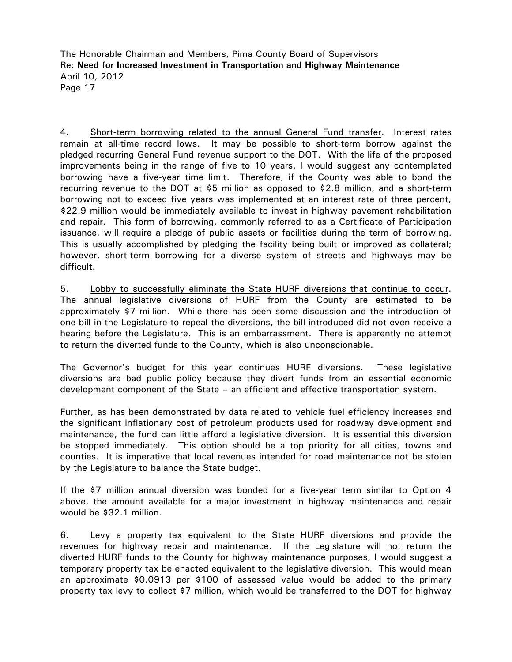4. Short-term borrowing related to the annual General Fund transfer. Interest rates remain at all-time record lows. It may be possible to short-term borrow against the pledged recurring General Fund revenue support to the DOT. With the life of the proposed improvements being in the range of five to 10 years, I would suggest any contemplated borrowing have a five-year time limit. Therefore, if the County was able to bond the recurring revenue to the DOT at \$5 million as opposed to \$2.8 million, and a short-term borrowing not to exceed five years was implemented at an interest rate of three percent, \$22.9 million would be immediately available to invest in highway pavement rehabilitation and repair. This form of borrowing, commonly referred to as a Certificate of Participation issuance, will require a pledge of public assets or facilities during the term of borrowing. This is usually accomplished by pledging the facility being built or improved as collateral; however, short-term borrowing for a diverse system of streets and highways may be difficult.

5. Lobby to successfully eliminate the State HURF diversions that continue to occur. The annual legislative diversions of HURF from the County are estimated to be approximately \$7 million. While there has been some discussion and the introduction of one bill in the Legislature to repeal the diversions, the bill introduced did not even receive a hearing before the Legislature. This is an embarrassment. There is apparently no attempt to return the diverted funds to the County, which is also unconscionable.

The Governor's budget for this year continues HURF diversions. These legislative diversions are bad public policy because they divert funds from an essential economic development component of the State – an efficient and effective transportation system.

Further, as has been demonstrated by data related to vehicle fuel efficiency increases and the significant inflationary cost of petroleum products used for roadway development and maintenance, the fund can little afford a legislative diversion. It is essential this diversion be stopped immediately. This option should be a top priority for all cities, towns and counties. It is imperative that local revenues intended for road maintenance not be stolen by the Legislature to balance the State budget.

If the \$7 million annual diversion was bonded for a five-year term similar to Option 4 above, the amount available for a major investment in highway maintenance and repair would be \$32.1 million.

6. Levy a property tax equivalent to the State HURF diversions and provide the revenues for highway repair and maintenance. If the Legislature will not return the diverted HURF funds to the County for highway maintenance purposes, I would suggest a temporary property tax be enacted equivalent to the legislative diversion. This would mean an approximate \$0.0913 per \$100 of assessed value would be added to the primary property tax levy to collect \$7 million, which would be transferred to the DOT for highway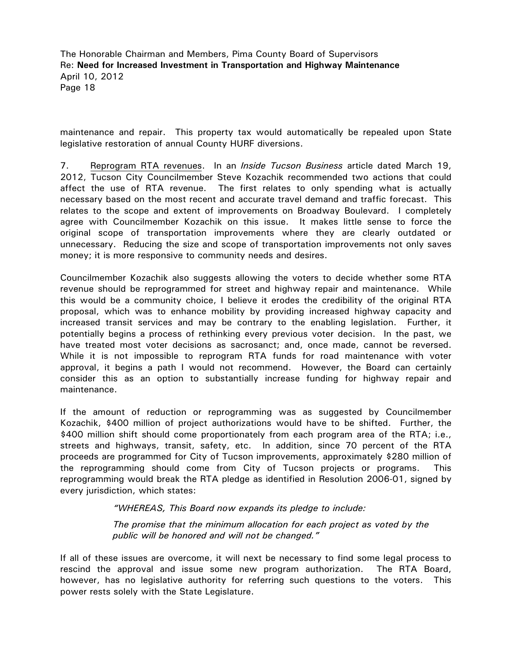maintenance and repair. This property tax would automatically be repealed upon State legislative restoration of annual County HURF diversions.

7. Reprogram RTA revenues. In an *Inside Tucson Business* article dated March 19, 2012, Tucson City Councilmember Steve Kozachik recommended two actions that could affect the use of RTA revenue. The first relates to only spending what is actually necessary based on the most recent and accurate travel demand and traffic forecast. This relates to the scope and extent of improvements on Broadway Boulevard. I completely agree with Councilmember Kozachik on this issue. It makes little sense to force the original scope of transportation improvements where they are clearly outdated or unnecessary. Reducing the size and scope of transportation improvements not only saves money; it is more responsive to community needs and desires.

Councilmember Kozachik also suggests allowing the voters to decide whether some RTA revenue should be reprogrammed for street and highway repair and maintenance. While this would be a community choice, I believe it erodes the credibility of the original RTA proposal, which was to enhance mobility by providing increased highway capacity and increased transit services and may be contrary to the enabling legislation. Further, it potentially begins a process of rethinking every previous voter decision. In the past, we have treated most voter decisions as sacrosanct; and, once made, cannot be reversed. While it is not impossible to reprogram RTA funds for road maintenance with voter approval, it begins a path I would not recommend. However, the Board can certainly consider this as an option to substantially increase funding for highway repair and maintenance.

If the amount of reduction or reprogramming was as suggested by Councilmember Kozachik, \$400 million of project authorizations would have to be shifted. Further, the \$400 million shift should come proportionately from each program area of the RTA; i.e., streets and highways, transit, safety, etc. In addition, since 70 percent of the RTA proceeds are programmed for City of Tucson improvements, approximately \$280 million of the reprogramming should come from City of Tucson projects or programs. This reprogramming would break the RTA pledge as identified in Resolution 2006-01, signed by every jurisdiction, which states:

*"WHEREAS, This Board now expands its pledge to include:* 

*The promise that the minimum allocation for each project as voted by the public will be honored and will not be changed."* 

If all of these issues are overcome, it will next be necessary to find some legal process to rescind the approval and issue some new program authorization. The RTA Board, however, has no legislative authority for referring such questions to the voters. This power rests solely with the State Legislature.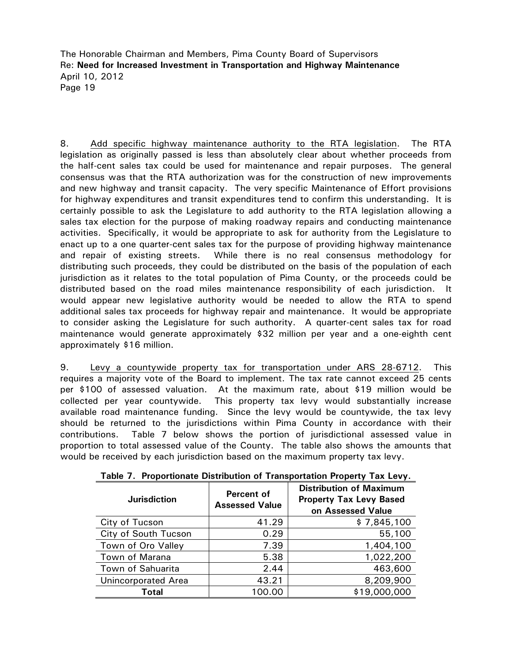8. Add specific highway maintenance authority to the RTA legislation. The RTA legislation as originally passed is less than absolutely clear about whether proceeds from the half-cent sales tax could be used for maintenance and repair purposes. The general consensus was that the RTA authorization was for the construction of new improvements and new highway and transit capacity. The very specific Maintenance of Effort provisions for highway expenditures and transit expenditures tend to confirm this understanding. It is certainly possible to ask the Legislature to add authority to the RTA legislation allowing a sales tax election for the purpose of making roadway repairs and conducting maintenance activities. Specifically, it would be appropriate to ask for authority from the Legislature to enact up to a one quarter-cent sales tax for the purpose of providing highway maintenance and repair of existing streets. While there is no real consensus methodology for distributing such proceeds, they could be distributed on the basis of the population of each jurisdiction as it relates to the total population of Pima County, or the proceeds could be distributed based on the road miles maintenance responsibility of each jurisdiction. It would appear new legislative authority would be needed to allow the RTA to spend additional sales tax proceeds for highway repair and maintenance. It would be appropriate to consider asking the Legislature for such authority. A quarter-cent sales tax for road maintenance would generate approximately \$32 million per year and a one-eighth cent approximately \$16 million.

9. Levy a countywide property tax for transportation under ARS 28-6712. This requires a majority vote of the Board to implement. The tax rate cannot exceed 25 cents per \$100 of assessed valuation. At the maximum rate, about \$19 million would be collected per year countywide. This property tax levy would substantially increase available road maintenance funding. Since the levy would be countywide, the tax levy should be returned to the jurisdictions within Pima County in accordance with their contributions. Table 7 below shows the portion of jurisdictional assessed value in proportion to total assessed value of the County. The table also shows the amounts that would be received by each jurisdiction based on the maximum property tax levy.

| <b>Jurisdiction</b>        | Percent of<br><b>Assessed Value</b> | <b>Distribution of Maximum</b><br><b>Property Tax Levy Based</b><br>on Assessed Value |
|----------------------------|-------------------------------------|---------------------------------------------------------------------------------------|
| City of Tucson             | 41.29                               | \$7,845,100                                                                           |
| City of South Tucson       | 0.29                                | 55,100                                                                                |
| Town of Oro Valley         | 7.39                                | 1,404,100                                                                             |
| Town of Marana             | 5.38                                | 1,022,200                                                                             |
| Town of Sahuarita          | 2.44                                | 463,600                                                                               |
| <b>Unincorporated Area</b> | 43.21                               | 8,209,900                                                                             |
| Total                      | 100.00                              | \$19,000,000                                                                          |

|  |  | Table 7. Proportionate Distribution of Transportation Property Tax Levy. |  |
|--|--|--------------------------------------------------------------------------|--|
|  |  |                                                                          |  |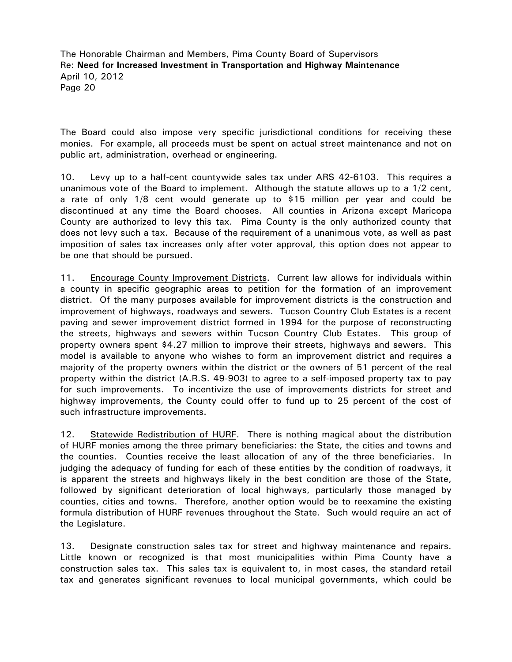The Board could also impose very specific jurisdictional conditions for receiving these monies. For example, all proceeds must be spent on actual street maintenance and not on public art, administration, overhead or engineering.

10. Levy up to a half-cent countywide sales tax under ARS 42-6103. This requires a unanimous vote of the Board to implement. Although the statute allows up to a 1/2 cent, a rate of only 1/8 cent would generate up to \$15 million per year and could be discontinued at any time the Board chooses. All counties in Arizona except Maricopa County are authorized to levy this tax. Pima County is the only authorized county that does not levy such a tax. Because of the requirement of a unanimous vote, as well as past imposition of sales tax increases only after voter approval, this option does not appear to be one that should be pursued.

11. Encourage County Improvement Districts. Current law allows for individuals within a county in specific geographic areas to petition for the formation of an improvement district. Of the many purposes available for improvement districts is the construction and improvement of highways, roadways and sewers. Tucson Country Club Estates is a recent paving and sewer improvement district formed in 1994 for the purpose of reconstructing the streets, highways and sewers within Tucson Country Club Estates. This group of property owners spent \$4.27 million to improve their streets, highways and sewers. This model is available to anyone who wishes to form an improvement district and requires a majority of the property owners within the district or the owners of 51 percent of the real property within the district (A.R.S. 49-903) to agree to a self-imposed property tax to pay for such improvements. To incentivize the use of improvements districts for street and highway improvements, the County could offer to fund up to 25 percent of the cost of such infrastructure improvements.

12. Statewide Redistribution of HURF. There is nothing magical about the distribution of HURF monies among the three primary beneficiaries: the State, the cities and towns and the counties. Counties receive the least allocation of any of the three beneficiaries. In judging the adequacy of funding for each of these entities by the condition of roadways, it is apparent the streets and highways likely in the best condition are those of the State, followed by significant deterioration of local highways, particularly those managed by counties, cities and towns. Therefore, another option would be to reexamine the existing formula distribution of HURF revenues throughout the State. Such would require an act of the Legislature.

13. Designate construction sales tax for street and highway maintenance and repairs. Little known or recognized is that most municipalities within Pima County have a construction sales tax. This sales tax is equivalent to, in most cases, the standard retail tax and generates significant revenues to local municipal governments, which could be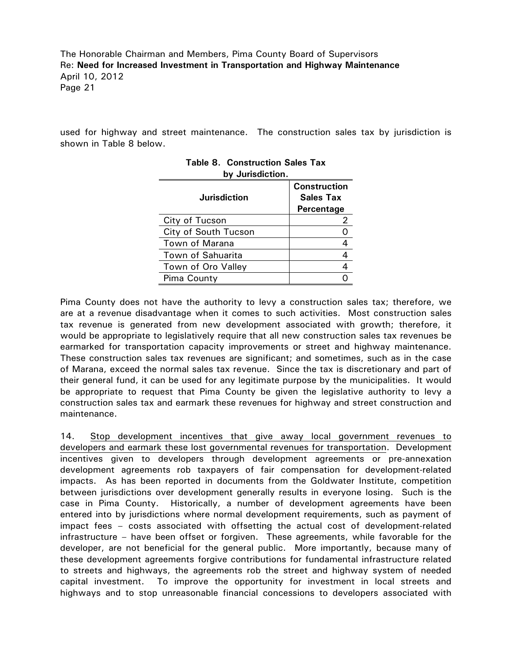used for highway and street maintenance. The construction sales tax by jurisdiction is shown in Table 8 below.

| <u>na ngunomoni</u>  |                                                       |
|----------------------|-------------------------------------------------------|
| <b>Jurisdiction</b>  | <b>Construction</b><br><b>Sales Tax</b><br>Percentage |
| City of Tucson       |                                                       |
| City of South Tucson |                                                       |
| Town of Marana       |                                                       |
| Town of Sahuarita    |                                                       |
| Town of Oro Valley   |                                                       |
| Pima County          |                                                       |
|                      |                                                       |

|                  | <b>Table 8. Construction Sales Tax</b> |
|------------------|----------------------------------------|
| by Jurisdiction. |                                        |

Pima County does not have the authority to levy a construction sales tax; therefore, we are at a revenue disadvantage when it comes to such activities. Most construction sales tax revenue is generated from new development associated with growth; therefore, it would be appropriate to legislatively require that all new construction sales tax revenues be earmarked for transportation capacity improvements or street and highway maintenance. These construction sales tax revenues are significant; and sometimes, such as in the case of Marana, exceed the normal sales tax revenue. Since the tax is discretionary and part of their general fund, it can be used for any legitimate purpose by the municipalities. It would be appropriate to request that Pima County be given the legislative authority to levy a construction sales tax and earmark these revenues for highway and street construction and maintenance.

14. Stop development incentives that give away local government revenues to developers and earmark these lost governmental revenues for transportation. Development incentives given to developers through development agreements or pre-annexation development agreements rob taxpayers of fair compensation for development-related impacts. As has been reported in documents from the Goldwater Institute, competition between jurisdictions over development generally results in everyone losing. Such is the case in Pima County. Historically, a number of development agreements have been entered into by jurisdictions where normal development requirements, such as payment of impact fees – costs associated with offsetting the actual cost of development-related infrastructure – have been offset or forgiven. These agreements, while favorable for the developer, are not beneficial for the general public. More importantly, because many of these development agreements forgive contributions for fundamental infrastructure related to streets and highways, the agreements rob the street and highway system of needed capital investment. To improve the opportunity for investment in local streets and highways and to stop unreasonable financial concessions to developers associated with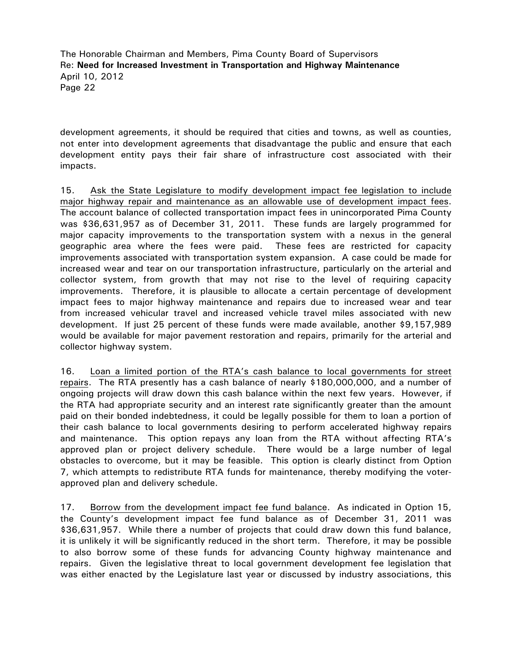development agreements, it should be required that cities and towns, as well as counties, not enter into development agreements that disadvantage the public and ensure that each development entity pays their fair share of infrastructure cost associated with their impacts.

15. Ask the State Legislature to modify development impact fee legislation to include major highway repair and maintenance as an allowable use of development impact fees. The account balance of collected transportation impact fees in unincorporated Pima County was \$36,631,957 as of December 31, 2011. These funds are largely programmed for major capacity improvements to the transportation system with a nexus in the general geographic area where the fees were paid. These fees are restricted for capacity improvements associated with transportation system expansion. A case could be made for increased wear and tear on our transportation infrastructure, particularly on the arterial and collector system, from growth that may not rise to the level of requiring capacity improvements. Therefore, it is plausible to allocate a certain percentage of development impact fees to major highway maintenance and repairs due to increased wear and tear from increased vehicular travel and increased vehicle travel miles associated with new development. If just 25 percent of these funds were made available, another \$9,157,989 would be available for major pavement restoration and repairs, primarily for the arterial and collector highway system.

16. Loan a limited portion of the RTA's cash balance to local governments for street repairs. The RTA presently has a cash balance of nearly \$180,000,000, and a number of ongoing projects will draw down this cash balance within the next few years. However, if the RTA had appropriate security and an interest rate significantly greater than the amount paid on their bonded indebtedness, it could be legally possible for them to loan a portion of their cash balance to local governments desiring to perform accelerated highway repairs and maintenance. This option repays any loan from the RTA without affecting RTA's approved plan or project delivery schedule. There would be a large number of legal obstacles to overcome, but it may be feasible. This option is clearly distinct from Option 7, which attempts to redistribute RTA funds for maintenance, thereby modifying the voterapproved plan and delivery schedule.

17. Borrow from the development impact fee fund balance. As indicated in Option 15, the County's development impact fee fund balance as of December 31, 2011 was \$36,631,957. While there a number of projects that could draw down this fund balance, it is unlikely it will be significantly reduced in the short term. Therefore, it may be possible to also borrow some of these funds for advancing County highway maintenance and repairs. Given the legislative threat to local government development fee legislation that was either enacted by the Legislature last year or discussed by industry associations, this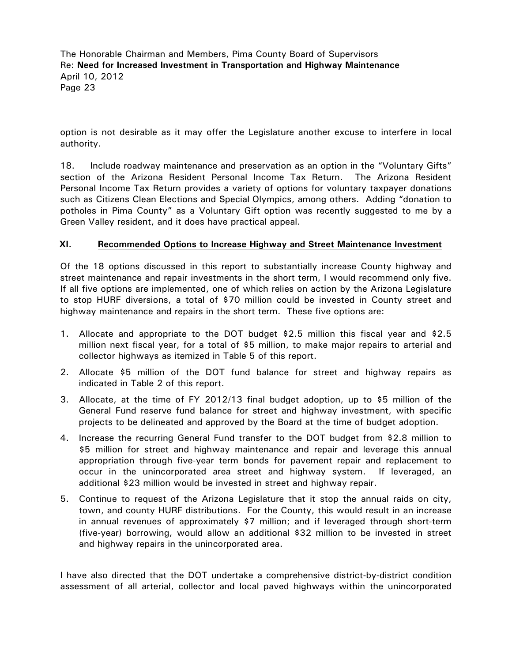option is not desirable as it may offer the Legislature another excuse to interfere in local authority.

18. Include roadway maintenance and preservation as an option in the "Voluntary Gifts" section of the Arizona Resident Personal Income Tax Return. The Arizona Resident Personal Income Tax Return provides a variety of options for voluntary taxpayer donations such as Citizens Clean Elections and Special Olympics, among others. Adding "donation to potholes in Pima County" as a Voluntary Gift option was recently suggested to me by a Green Valley resident, and it does have practical appeal.

#### **XI. Recommended Options to Increase Highway and Street Maintenance Investment**

Of the 18 options discussed in this report to substantially increase County highway and street maintenance and repair investments in the short term, I would recommend only five. If all five options are implemented, one of which relies on action by the Arizona Legislature to stop HURF diversions, a total of \$70 million could be invested in County street and highway maintenance and repairs in the short term. These five options are:

- 1. Allocate and appropriate to the DOT budget \$2.5 million this fiscal year and \$2.5 million next fiscal year, for a total of \$5 million, to make major repairs to arterial and collector highways as itemized in Table 5 of this report.
- 2. Allocate \$5 million of the DOT fund balance for street and highway repairs as indicated in Table 2 of this report.
- 3. Allocate, at the time of FY 2012/13 final budget adoption, up to \$5 million of the General Fund reserve fund balance for street and highway investment, with specific projects to be delineated and approved by the Board at the time of budget adoption.
- 4. Increase the recurring General Fund transfer to the DOT budget from \$2.8 million to \$5 million for street and highway maintenance and repair and leverage this annual appropriation through five-year term bonds for pavement repair and replacement to occur in the unincorporated area street and highway system. If leveraged, an additional \$23 million would be invested in street and highway repair.
- 5. Continue to request of the Arizona Legislature that it stop the annual raids on city, town, and county HURF distributions. For the County, this would result in an increase in annual revenues of approximately \$7 million; and if leveraged through short-term (five-year) borrowing, would allow an additional \$32 million to be invested in street and highway repairs in the unincorporated area.

I have also directed that the DOT undertake a comprehensive district-by-district condition assessment of all arterial, collector and local paved highways within the unincorporated